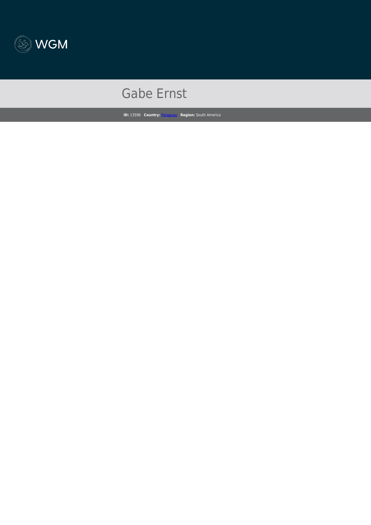

## Gabe Ernst

**ID:** 13596 **Country:** [Paraguay](https://www.wgm.org/opportunities?query=&filter[0]=74&filter[1]=&filter[2]=&filter[3]=) **Region:** South America